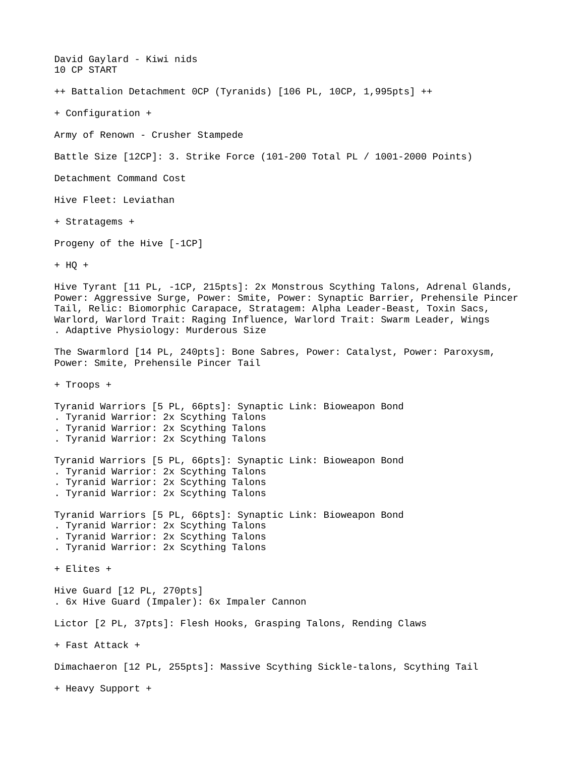David Gaylard - Kiwi nids 10 CP START ++ Battalion Detachment 0CP (Tyranids) [106 PL, 10CP, 1,995pts] ++ + Configuration + Army of Renown - Crusher Stampede Battle Size [12CP]: 3. Strike Force (101-200 Total PL / 1001-2000 Points) Detachment Command Cost Hive Fleet: Leviathan + Stratagems + Progeny of the Hive [-1CP] + HQ + Hive Tyrant [11 PL, -1CP, 215pts]: 2x Monstrous Scything Talons, Adrenal Glands, Power: Aggressive Surge, Power: Smite, Power: Synaptic Barrier, Prehensile Pincer Tail, Relic: Biomorphic Carapace, Stratagem: Alpha Leader-Beast, Toxin Sacs, Warlord, Warlord Trait: Raging Influence, Warlord Trait: Swarm Leader, Wings . Adaptive Physiology: Murderous Size The Swarmlord [14 PL, 240pts]: Bone Sabres, Power: Catalyst, Power: Paroxysm, Power: Smite, Prehensile Pincer Tail + Troops + Tyranid Warriors [5 PL, 66pts]: Synaptic Link: Bioweapon Bond . Tyranid Warrior: 2x Scything Talons . Tyranid Warrior: 2x Scything Talons . Tyranid Warrior: 2x Scything Talons Tyranid Warriors [5 PL, 66pts]: Synaptic Link: Bioweapon Bond . Tyranid Warrior: 2x Scything Talons . Tyranid Warrior: 2x Scything Talons . Tyranid Warrior: 2x Scything Talons Tyranid Warriors [5 PL, 66pts]: Synaptic Link: Bioweapon Bond . Tyranid Warrior: 2x Scything Talons . Tyranid Warrior: 2x Scything Talons . Tyranid Warrior: 2x Scything Talons + Elites + Hive Guard [12 PL, 270pts] . 6x Hive Guard (Impaler): 6x Impaler Cannon Lictor [2 PL, 37pts]: Flesh Hooks, Grasping Talons, Rending Claws + Fast Attack + Dimachaeron [12 PL, 255pts]: Massive Scything Sickle-talons, Scything Tail + Heavy Support +